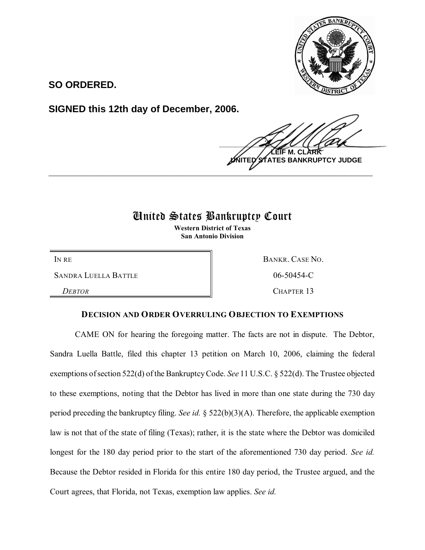

**SO ORDERED.**

**SIGNED this 12th day of December, 2006.**

 $\frac{1}{2}$ **M. TES BANKRUPTCY JUDGE \_\_\_\_\_\_\_\_\_\_\_\_\_\_\_\_\_\_\_\_\_\_\_\_\_\_\_\_\_\_\_\_\_\_\_\_\_\_\_\_\_\_\_\_\_\_\_\_\_\_\_\_\_\_\_\_\_\_\_\_**

## United States Bankruptcy Court

**Western District of Texas San Antonio Division**

SANDRA LUELLA BATTLE  $\parallel$  06-50454-C

*DEBTOR* CHAPTER 13

IN RE BANKR. CASE NO.

## **DECISION AND ORDER OVERRULING OBJECTION TO EXEMPTIONS**

CAME ON for hearing the foregoing matter. The facts are not in dispute. The Debtor, Sandra Luella Battle, filed this chapter 13 petition on March 10, 2006, claiming the federal exemptions of section 522(d) of the Bankruptcy Code. *See* 11 U.S.C. § 522(d). The Trustee objected to these exemptions, noting that the Debtor has lived in more than one state during the 730 day period preceding the bankruptcy filing. *See id.* § 522(b)(3)(A). Therefore, the applicable exemption law is not that of the state of filing (Texas); rather, it is the state where the Debtor was domiciled longest for the 180 day period prior to the start of the aforementioned 730 day period. *See id.* Because the Debtor resided in Florida for this entire 180 day period, the Trustee argued, and the Court agrees, that Florida, not Texas, exemption law applies. *See id.*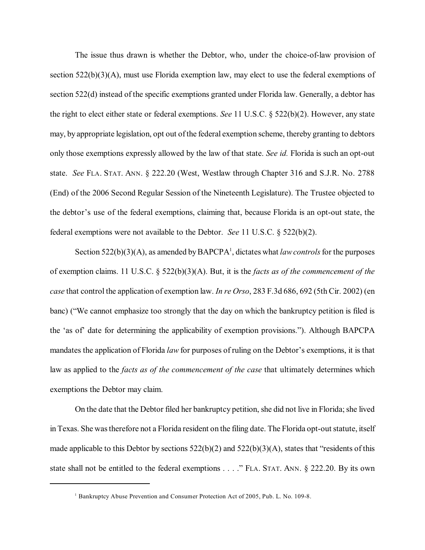The issue thus drawn is whether the Debtor, who, under the choice-of-law provision of section  $522(b)(3)(A)$ , must use Florida exemption law, may elect to use the federal exemptions of section 522(d) instead of the specific exemptions granted under Florida law. Generally, a debtor has the right to elect either state or federal exemptions. *See* 11 U.S.C. § 522(b)(2). However, any state may, by appropriate legislation, opt out of the federal exemption scheme, thereby granting to debtors only those exemptions expressly allowed by the law of that state. *See id.* Florida is such an opt-out state. *See* FLA. STAT. ANN. § 222.20 (West, Westlaw through Chapter 316 and S.J.R. No. 2788 (End) of the 2006 Second Regular Session of the Nineteenth Legislature). The Trustee objected to the debtor's use of the federal exemptions, claiming that, because Florida is an opt-out state, the federal exemptions were not available to the Debtor. *See* 11 U.S.C. § 522(b)(2).

Section  $522(b)(3)(A)$ , as amended by BAPCPA<sup>1</sup>, dictates what *law controls* for the purposes of exemption claims. 11 U.S.C. § 522(b)(3)(A). But, it is the *facts as of the commencement of the case* that control the application of exemption law. *In re Orso*, 283 F.3d 686, 692 (5th Cir. 2002) (en banc) ("We cannot emphasize too strongly that the day on which the bankruptcy petition is filed is the 'as of' date for determining the applicability of exemption provisions."). Although BAPCPA mandates the application of Florida *law* for purposes of ruling on the Debtor's exemptions, it is that law as applied to the *facts as of the commencement of the case* that ultimately determines which exemptions the Debtor may claim.

On the date that the Debtor filed her bankruptcy petition, she did not live in Florida; she lived in Texas. She wastherefore not a Florida resident on the filing date. The Florida opt-out statute, itself made applicable to this Debtor by sections 522(b)(2) and 522(b)(3)(A), states that "residents of this state shall not be entitled to the federal exemptions . . . ." FLA. STAT. ANN. § 222.20. By its own

<sup>&</sup>lt;sup>1</sup> Bankruptcy Abuse Prevention and Consumer Protection Act of 2005, Pub. L. No. 109-8.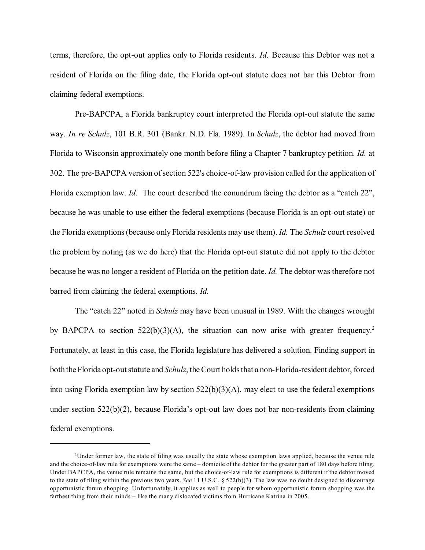terms, therefore, the opt-out applies only to Florida residents. *Id.* Because this Debtor was not a resident of Florida on the filing date, the Florida opt-out statute does not bar this Debtor from claiming federal exemptions.

Pre-BAPCPA, a Florida bankruptcy court interpreted the Florida opt-out statute the same way. *In re Schulz*, 101 B.R. 301 (Bankr. N.D. Fla. 1989). In *Schulz*, the debtor had moved from Florida to Wisconsin approximately one month before filing a Chapter 7 bankruptcy petition. *Id.* at 302. The pre-BAPCPA version ofsection 522's choice-of-law provision called for the application of Florida exemption law. *Id.* The court described the conundrum facing the debtor as a "catch 22", because he was unable to use either the federal exemptions (because Florida is an opt-out state) or the Florida exemptions(because only Florida residents may use them). *Id.* The *Schulz* court resolved the problem by noting (as we do here) that the Florida opt-out statute did not apply to the debtor because he was no longer a resident of Florida on the petition date. *Id.* The debtor was therefore not barred from claiming the federal exemptions. *Id.*

The "catch 22" noted in *Schulz* may have been unusual in 1989. With the changes wrought by BAPCPA to section  $522(b)(3)(A)$ , the situation can now arise with greater frequency.<sup>2</sup> Fortunately, at least in this case, the Florida legislature has delivered a solution. Finding support in both the Florida opt-out statute and *Schulz*, the Court holds that a non-Florida-resident debtor, forced into using Florida exemption law by section  $522(b)(3)(A)$ , may elect to use the federal exemptions under section 522(b)(2), because Florida's opt-out law does not bar non-residents from claiming federal exemptions.

<sup>&</sup>lt;sup>2</sup>Under former law, the state of filing was usually the state whose exemption laws applied, because the venue rule and the choice-of-law rule for exemptions were the same – domicile of the debtor for the greater part of 180 days before filing. Under BAPCPA, the venue rule remains the same, but the choice-of-law rule for exemptions is different if the debtor moved to the state of filing within the previous two years. *See* 11 U.S.C. § 522(b)(3). The law was no doubt designed to discourage opportunistic forum shopping. Unfortunately, it applies as well to people for whom opportunistic forum shopping was the farthest thing from their minds – like the many dislocated victims from Hurricane Katrina in 2005.